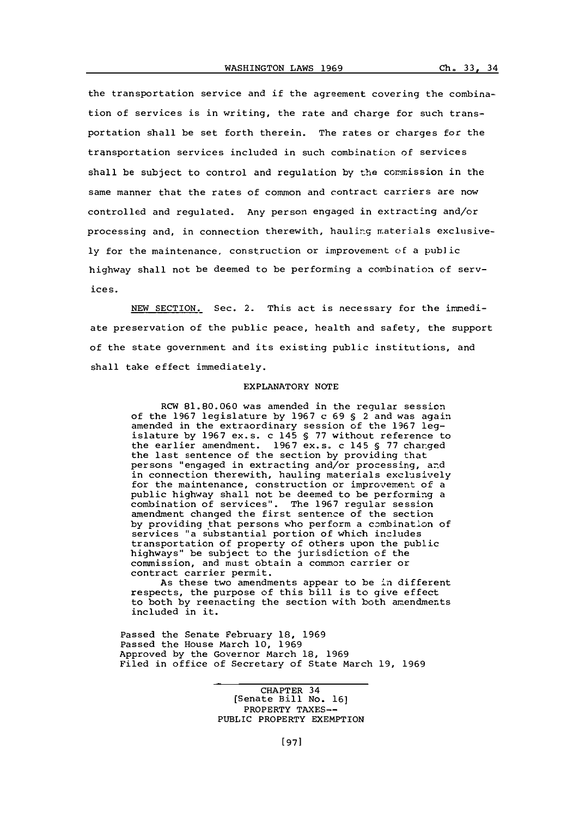the transportation service and if the agreement covering the combination of services is in writing, the rate and charge for such transportation shall be set forth therein. The rates or charges for the transportation services included in such combination of services shall be subject to control and regulation **by** the commission in the same manner that the rates of common and contract carriers are now controlled and regulated. Any person engaged in extracting and/or processing and, in connection therewith, hauling materials exclusive**ly** for the maintenance, construction or improvement of a public highway shall not be deemed to be performing a combination of services.

**NEW** SECTION. Sec. 2. This act is necessary for the immediate preservation of the public peace, health and safety, the support of the state government and its existing public institutions, and shall take effect immediately.

## EXPLANATORY **NOTE**

RCW **81.80.060** was amended in the regular session of the **1967** legislature **by 1967** c **69 §** 2 and was again amended in the extraordinary session of the **1967** legislature **by 1967** ex.s. c 145 **§ 77** without reference to the earlier amendment. **1967** ex.s. c 145 **§ 77** charged the last sentence of the section **by** providing that persons "engaged in extracting and/or processing, and in connection therewith, hauling materials exclusively for the maintenance, construction or improvement of a public highway shall not be deemed to be performing a combination of services". The **1967** regular session amendment changed the first sentence of the section **by** providing that persons who perform a combination of services "a substantial portion of which includes transportation of property of others upon the public highways" be subject to the jurisdiction of the commission, and must obtain a common carrier or contract carrier permit.

As these two amendments appear to be in different respects, the purpose of this bill is to give effect to both by reenacting the section with both amendments included in it.

Passed the Senate February **18, 1969** Passed the House March **10, 1969** Approved **by** the Governor March **18, 1969** Filed in office of Secretary of State March **19, 1969**

> CHAPTER 34 [Senate Bill No. **16]** PROPERTY **TAXES--** PUBLIC PROPERTY EXEMPTION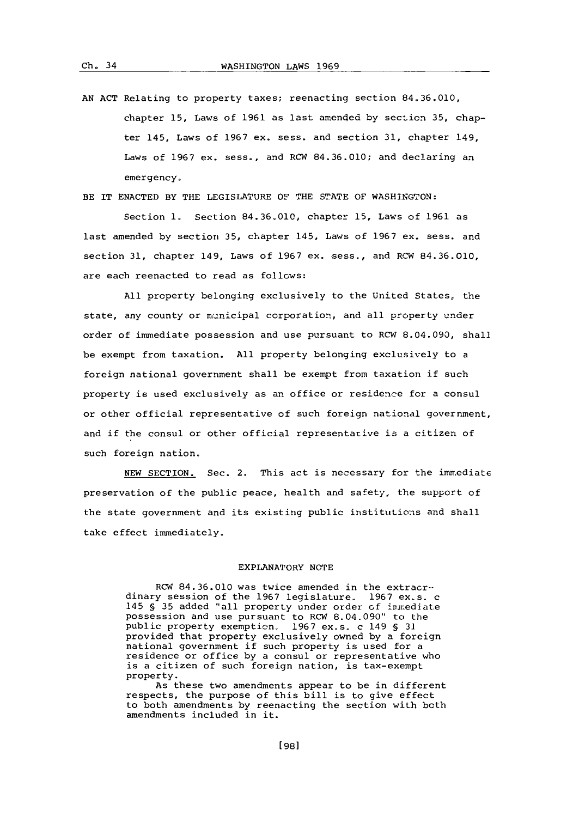AN ACT Relating to property taxes; reenacting section 84.36.010, chapter 15, Laws of 1961 as last amended by section 35, chapter 145, Laws of **1967** ex. sess. and section **31,** chapter 149, Laws of **1967** ex. sess., and RCW **84.36.010;** and declaring an emergency.

BE IT **ENACTED** BY THE LEGISLATURE OF **THE STATE** OF WASHINGTON:

Section **1.** Section **84.36.010,** chapter **15,** Laws of **1961** as last amended **by** section **35,** chapter 145, Laws of **1967** ex. sess. and section **31,** chapter 149, Laws of **1967** ex. sess., and RCW 84.36.010, are each reenacted to read as follows:

**All** property belonging exclusively to the United States, the state, any county or municipal corporation, and all property under order of immediate possession and use pursuant to RCW 8.04.093, shall be exempt from taxation. **All** property belonging exclusively to a foreign national government shall be exempt from taxation if such property is used exclusively as an office or residence for a consul or other official representative of such foreign national government, and if the consul or other official representative is a citizen of such foreign nation.

**NEW** SECTION. Sec. 2. This act is necessary for the immediate preservation of the public peace, health and safety, the support of the state government and its existing public institutions and shall take effect immediately.

## EXPLANATORY **NOTE**

RCW **84.36.010** was twice amended in the extraordinary session of the 1967 legislature. 1967 ex.s. c 145 § 35 added "all property under order of *inmediate* possession and use pursuant to RCW 8.04.090' to the public property exemption. **1967** ex.s- c 149 **§ 31** provided that property exclusively owned **by** a foreign national government if such property is used for a residence or office **by** a consul or representative who is a citizen of such foreign nation, is tax-exempt property.

As these two amendments appear to be in different respects, the purpose of this bill is to give effect to both amendments **by** reenacting the section with both amendments included in it.